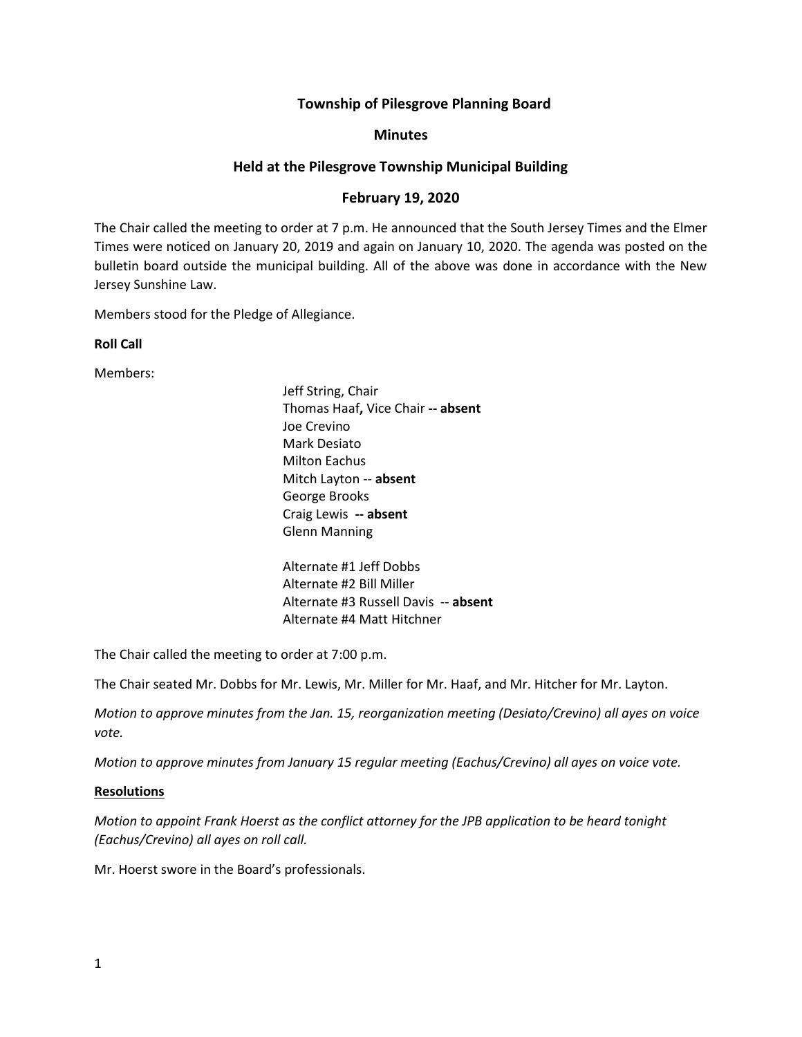# **Township of Pilesgrove Planning Board**

### **Minutes**

# **Held at the Pilesgrove Township Municipal Building**

# **February 19, 2020**

The Chair called the meeting to order at 7 p.m. He announced that the South Jersey Times and the Elmer Times were noticed on January 20, 2019 and again on January 10, 2020. The agenda was posted on the bulletin board outside the municipal building. All of the above was done in accordance with the New Jersey Sunshine Law.

Members stood for the Pledge of Allegiance.

**Roll Call**

Members:

Jeff String, Chair Thomas Haaf**,** Vice Chair **-- absent** Joe Crevino Mark Desiato Milton Eachus Mitch Layton -- **absent** George Brooks Craig Lewis **-- absent** Glenn Manning

Alternate #1 Jeff Dobbs Alternate #2 Bill Miller Alternate #3 Russell Davis -- **absent** Alternate #4 Matt Hitchner

The Chair called the meeting to order at 7:00 p.m.

The Chair seated Mr. Dobbs for Mr. Lewis, Mr. Miller for Mr. Haaf, and Mr. Hitcher for Mr. Layton.

*Motion to approve minutes from the Jan. 15, reorganization meeting (Desiato/Crevino) all ayes on voice vote.*

*Motion to approve minutes from January 15 regular meeting (Eachus/Crevino) all ayes on voice vote.*

# **Resolutions**

*Motion to appoint Frank Hoerst as the conflict attorney for the JPB application to be heard tonight (Eachus/Crevino) all ayes on roll call.* 

Mr. Hoerst swore in the Board's professionals.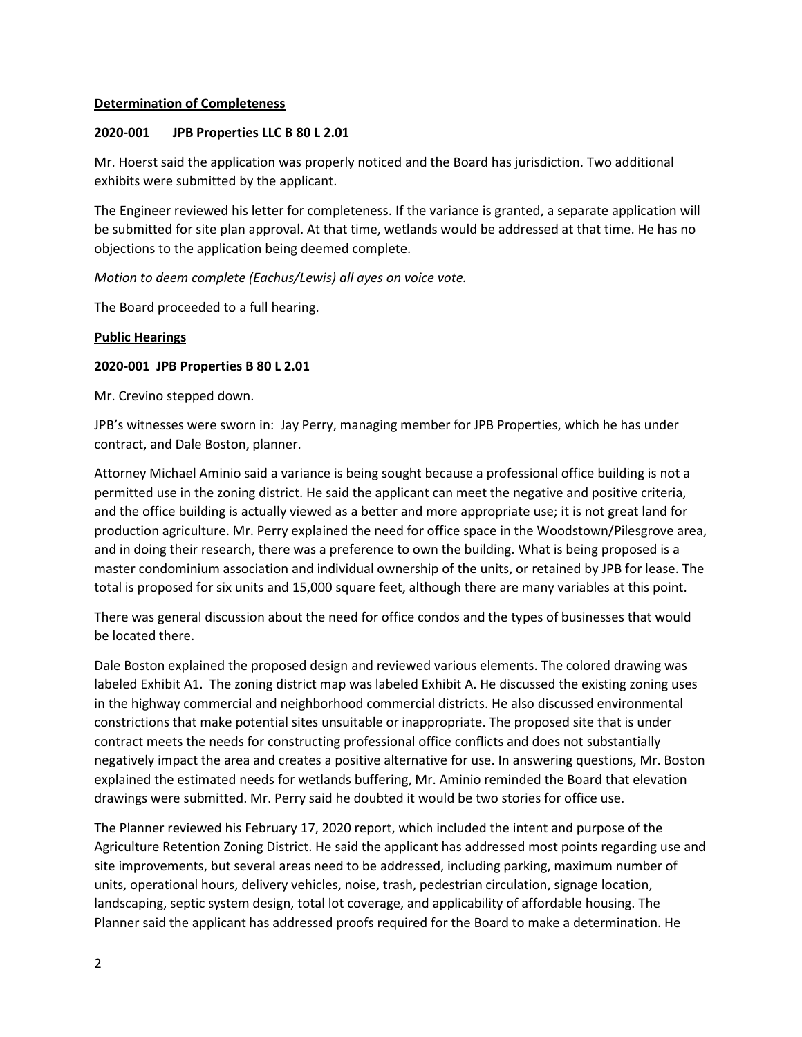### **Determination of Completeness**

### **2020-001 JPB Properties LLC B 80 L 2.01**

Mr. Hoerst said the application was properly noticed and the Board has jurisdiction. Two additional exhibits were submitted by the applicant.

The Engineer reviewed his letter for completeness. If the variance is granted, a separate application will be submitted for site plan approval. At that time, wetlands would be addressed at that time. He has no objections to the application being deemed complete.

*Motion to deem complete (Eachus/Lewis) all ayes on voice vote.*

The Board proceeded to a full hearing.

### **Public Hearings**

### **2020-001 JPB Properties B 80 L 2.01**

Mr. Crevino stepped down.

JPB's witnesses were sworn in: Jay Perry, managing member for JPB Properties, which he has under contract, and Dale Boston, planner.

Attorney Michael Aminio said a variance is being sought because a professional office building is not a permitted use in the zoning district. He said the applicant can meet the negative and positive criteria, and the office building is actually viewed as a better and more appropriate use; it is not great land for production agriculture. Mr. Perry explained the need for office space in the Woodstown/Pilesgrove area, and in doing their research, there was a preference to own the building. What is being proposed is a master condominium association and individual ownership of the units, or retained by JPB for lease. The total is proposed for six units and 15,000 square feet, although there are many variables at this point.

There was general discussion about the need for office condos and the types of businesses that would be located there.

Dale Boston explained the proposed design and reviewed various elements. The colored drawing was labeled Exhibit A1. The zoning district map was labeled Exhibit A. He discussed the existing zoning uses in the highway commercial and neighborhood commercial districts. He also discussed environmental constrictions that make potential sites unsuitable or inappropriate. The proposed site that is under contract meets the needs for constructing professional office conflicts and does not substantially negatively impact the area and creates a positive alternative for use. In answering questions, Mr. Boston explained the estimated needs for wetlands buffering, Mr. Aminio reminded the Board that elevation drawings were submitted. Mr. Perry said he doubted it would be two stories for office use.

The Planner reviewed his February 17, 2020 report, which included the intent and purpose of the Agriculture Retention Zoning District. He said the applicant has addressed most points regarding use and site improvements, but several areas need to be addressed, including parking, maximum number of units, operational hours, delivery vehicles, noise, trash, pedestrian circulation, signage location, landscaping, septic system design, total lot coverage, and applicability of affordable housing. The Planner said the applicant has addressed proofs required for the Board to make a determination. He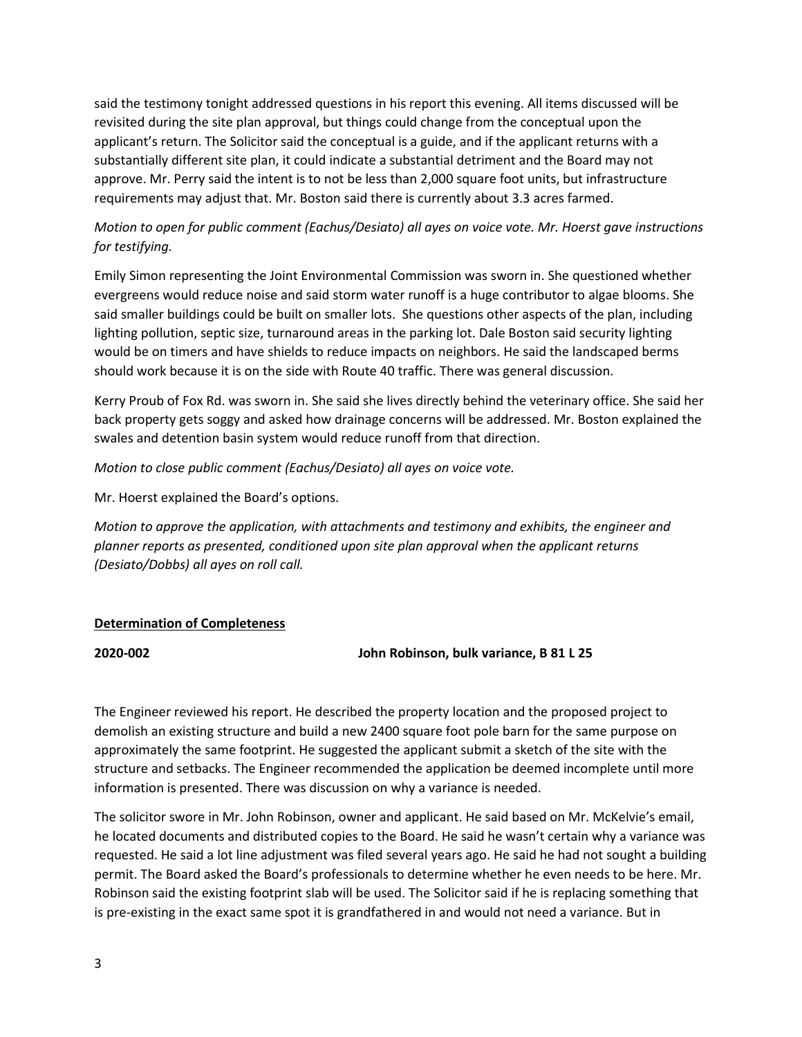said the testimony tonight addressed questions in his report this evening. All items discussed will be revisited during the site plan approval, but things could change from the conceptual upon the applicant's return. The Solicitor said the conceptual is a guide, and if the applicant returns with a substantially different site plan, it could indicate a substantial detriment and the Board may not approve. Mr. Perry said the intent is to not be less than 2,000 square foot units, but infrastructure requirements may adjust that. Mr. Boston said there is currently about 3.3 acres farmed.

# *Motion to open for public comment (Eachus/Desiato) all ayes on voice vote. Mr. Hoerst gave instructions for testifying.*

Emily Simon representing the Joint Environmental Commission was sworn in. She questioned whether evergreens would reduce noise and said storm water runoff is a huge contributor to algae blooms. She said smaller buildings could be built on smaller lots. She questions other aspects of the plan, including lighting pollution, septic size, turnaround areas in the parking lot. Dale Boston said security lighting would be on timers and have shields to reduce impacts on neighbors. He said the landscaped berms should work because it is on the side with Route 40 traffic. There was general discussion.

Kerry Proub of Fox Rd. was sworn in. She said she lives directly behind the veterinary office. She said her back property gets soggy and asked how drainage concerns will be addressed. Mr. Boston explained the swales and detention basin system would reduce runoff from that direction.

*Motion to close public comment (Eachus/Desiato) all ayes on voice vote.*

Mr. Hoerst explained the Board's options.

*Motion to approve the application, with attachments and testimony and exhibits, the engineer and planner reports as presented, conditioned upon site plan approval when the applicant returns (Desiato/Dobbs) all ayes on roll call.*

# **Determination of Completeness**

**2020-002 John Robinson, bulk variance, B 81 L 25**

The Engineer reviewed his report. He described the property location and the proposed project to demolish an existing structure and build a new 2400 square foot pole barn for the same purpose on approximately the same footprint. He suggested the applicant submit a sketch of the site with the structure and setbacks. The Engineer recommended the application be deemed incomplete until more information is presented. There was discussion on why a variance is needed.

The solicitor swore in Mr. John Robinson, owner and applicant. He said based on Mr. McKelvie's email, he located documents and distributed copies to the Board. He said he wasn't certain why a variance was requested. He said a lot line adjustment was filed several years ago. He said he had not sought a building permit. The Board asked the Board's professionals to determine whether he even needs to be here. Mr. Robinson said the existing footprint slab will be used. The Solicitor said if he is replacing something that is pre-existing in the exact same spot it is grandfathered in and would not need a variance. But in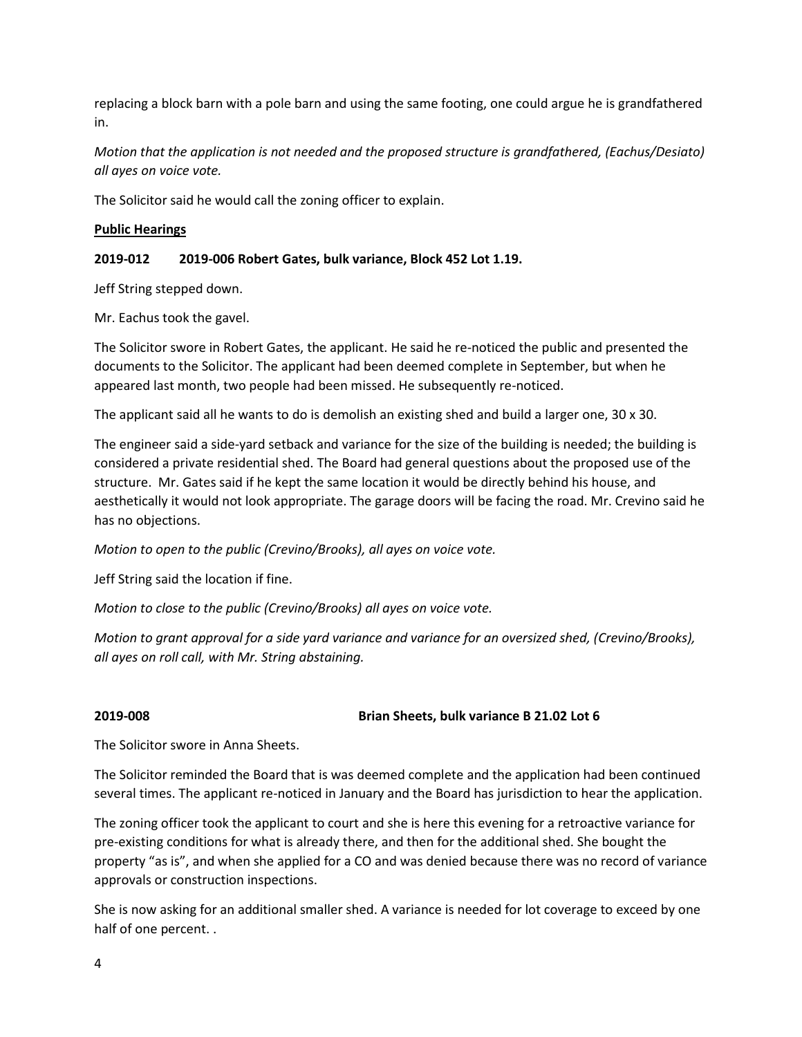replacing a block barn with a pole barn and using the same footing, one could argue he is grandfathered in.

*Motion that the application is not needed and the proposed structure is grandfathered, (Eachus/Desiato) all ayes on voice vote.*

The Solicitor said he would call the zoning officer to explain.

# **Public Hearings**

# **2019-012 2019-006 Robert Gates, bulk variance, Block 452 Lot 1.19.**

Jeff String stepped down.

Mr. Eachus took the gavel.

The Solicitor swore in Robert Gates, the applicant. He said he re-noticed the public and presented the documents to the Solicitor. The applicant had been deemed complete in September, but when he appeared last month, two people had been missed. He subsequently re-noticed.

The applicant said all he wants to do is demolish an existing shed and build a larger one, 30 x 30.

The engineer said a side-yard setback and variance for the size of the building is needed; the building is considered a private residential shed. The Board had general questions about the proposed use of the structure. Mr. Gates said if he kept the same location it would be directly behind his house, and aesthetically it would not look appropriate. The garage doors will be facing the road. Mr. Crevino said he has no objections.

*Motion to open to the public (Crevino/Brooks), all ayes on voice vote.*

Jeff String said the location if fine.

*Motion to close to the public (Crevino/Brooks) all ayes on voice vote.*

*Motion to grant approval for a side yard variance and variance for an oversized shed, (Crevino/Brooks), all ayes on roll call, with Mr. String abstaining.*

**2019-008 Brian Sheets, bulk variance B 21.02 Lot 6**

The Solicitor swore in Anna Sheets.

The Solicitor reminded the Board that is was deemed complete and the application had been continued several times. The applicant re-noticed in January and the Board has jurisdiction to hear the application.

The zoning officer took the applicant to court and she is here this evening for a retroactive variance for pre-existing conditions for what is already there, and then for the additional shed. She bought the property "as is", and when she applied for a CO and was denied because there was no record of variance approvals or construction inspections.

She is now asking for an additional smaller shed. A variance is needed for lot coverage to exceed by one half of one percent. .